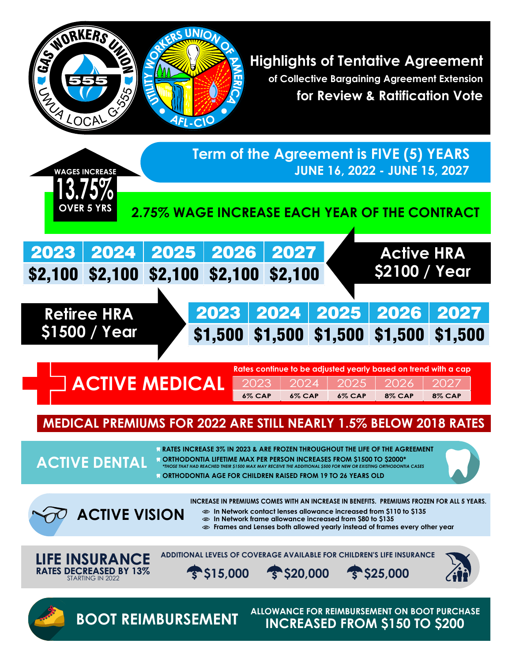

**Highlights of Tentative Agreement of Collective Bargaining Agreement Extension for Review & Ratification Vote** 



# **MEDICAL PREMIUMS FOR 2022 ARE STILL NEARLY 1.5% BELOW 2018 RATES**

**RATES INCREASE 3% IN 2023 & ARE FROZEN THROUGHOUT THE LIFE OF THE AGREEMENT**

*\*THOSE THAT HAD REACHED THEIR \$1500 MAX MAY RECEIVE THE ADDITIONAL \$500 FOR NEW OR EXISTING ORTHODONTIA CASES* **ORTHODONTIA LIFETIME MAX PER PERSON INCREASES FROM \$1500 TO \$2000\***

**ORTHODONTIA AGE FOR CHILDREN RAISED FROM 19 TO 26 YEARS OLD**



**ACTIVE VISION**

**INCREASE IN PREMIUMS COMES WITH AN INCREASE IN BENEFITS. PREMIUMS FROZEN FOR ALL 5 YEARS.**

**In Network contact lenses allowance increased from \$110 to \$135** 

**In Network frame allowance increased from \$80 to \$135** 

**Frames and Lenses both allowed yearly instead of frames every other year**



**ACTIVE DENTAL**

**ADDITIONAL LEVELS OF COVERAGE AVAILABLE FOR CHILDREN'S LIFE INSURANCE**



**\$15,000 \$20,000 \$25,000**





**ALLOWANCE FOR REIMBURSEMENT ON BOOT PURCHASE BOOT REIMBURSEMENT INCREASED FROM \$150 TO \$200**